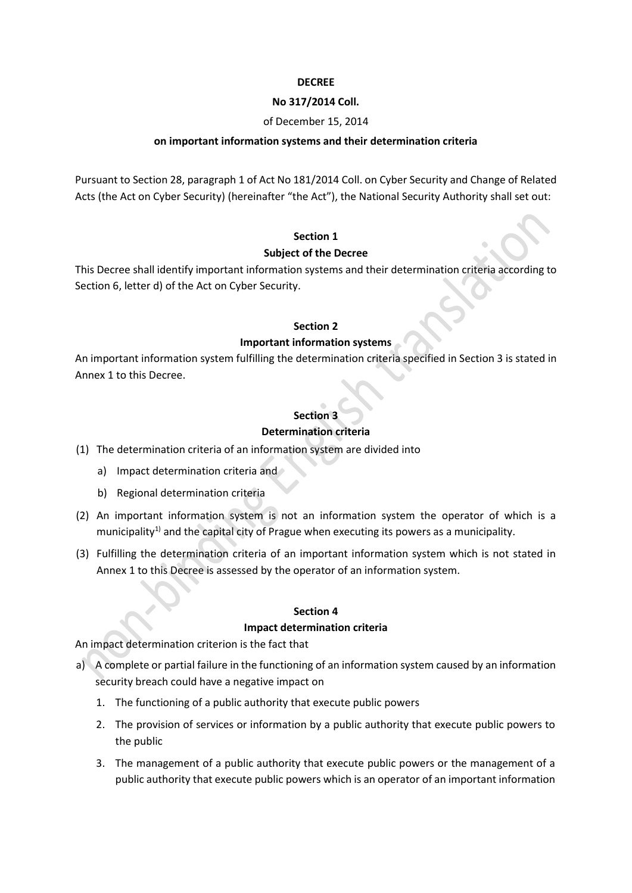## **DECREE**

#### **No 317/2014 Coll.**

# of December 15, 2014

## **on important information systems and their determination criteria**

Pursuant to [Section 28,](http://www.beck-online.cz/bo/document-view.seam?documentId=onrf6mrqge2f6mjygexhazrsha) paragraph 1 of Act No 181/2014 Coll. on Cyber Security and Change of Related Acts [\(the Act on Cyber Security\)](http://www.beck-online.cz/bo/document-view.seam?documentId=onrf6mrqge2f6mjyge) (hereinafter "the Act"), the National Security Authority shall set out:

# **Section 1**

## **Subject of the Decree**

This Decree shall identify important information systems and their determination criteria according to Section 6, letter d) of the Act on Cyber Security.

## **Section 2**

# **Important information systems**

An important information system fulfilling the determination criteria specified in Section 3 is stated in Annex 1 to this Decree.

# **Section 3**

# **Determination criteria**

- (1) The determination criteria of an information system are divided into
	- a) Impact determination criteria and
	- b) Regional determination criteria
- (2) An important information system is not an information system the operator of which is a municipality<sup>1)</sup> and the capital city of Prague when executing its powers as a municipality.
- (3) Fulfilling the determination criteria of an important information system which is not stated in Annex 1 to this Decree is assessed by the operator of an information system.

# **Section 4**

#### **Impact determination criteria**

An impact determination criterion is the fact that

- a) A complete or partial failure in the functioning of an information system caused by an information security breach could have a negative impact on
	- 1. The functioning of a public authority that execute public powers
	- 2. The provision of services or information by a public authority that execute public powers to the public
	- 3. The management of a public authority that execute public powers or the management of a public authority that execute public powers which is an operator of an important information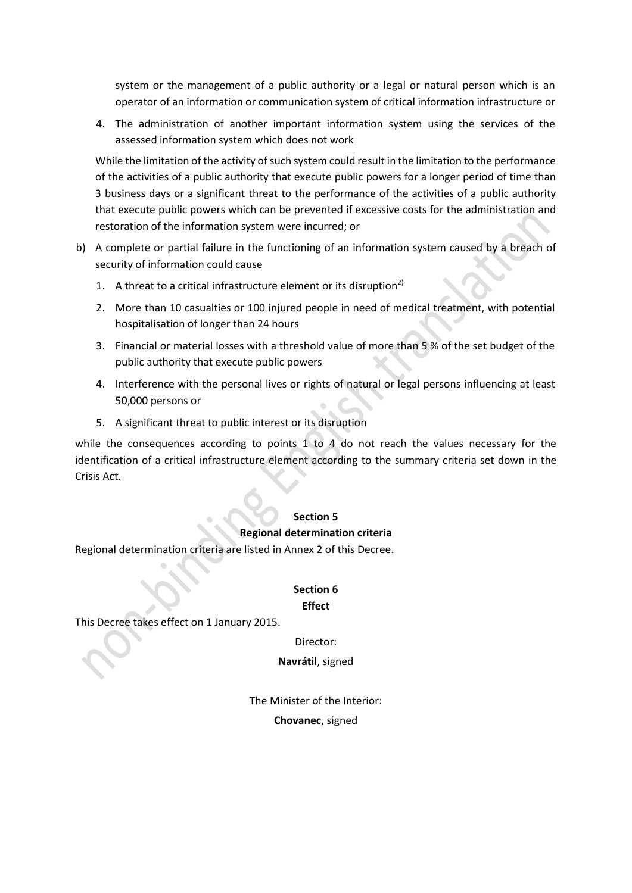system or the management of a public authority or a legal or natural person which is an operator of an information or communication system of critical information infrastructure or

4. The administration of another important information system using the services of the assessed information system which does not work

While the limitation of the activity of such system could result in the limitation to the performance of the activities of a public authority that execute public powers for a longer period of time than 3 business days or a significant threat to the performance of the activities of a public authority that execute public powers which can be prevented if excessive costs for the administration and restoration of the information system were incurred; or

- b) A complete or partial failure in the functioning of an information system caused by a breach of security of information could cause
	- 1. A threat to a critical infrastructure element or its disruption<sup>2)</sup>
	- 2. More than 10 casualties or 100 injured people in need of medical treatment, with potential hospitalisation of longer than 24 hours
	- 3. Financial or material losses with a threshold value of more than 5 % of the set budget of the public authority that execute public powers
	- 4. Interference with the personal lives or rights of natural or legal persons influencing at least 50,000 persons or
	- 5. A significant threat to public interest or its disruption

while the consequences according to points 1 to 4 do not reach the values necessary for the identification of a critical infrastructure element according to the summary criteria set down in the Crisis Act.

#### **Section 5**

#### **Regional determination criteria**

Regional determination criteria are listed in Annex 2 of this Decree.

# **Section 6 Effect**

This Decree takes effect on 1 January 2015.

Director:

**Navrátil**, signed

The Minister of the Interior: **Chovanec**, signed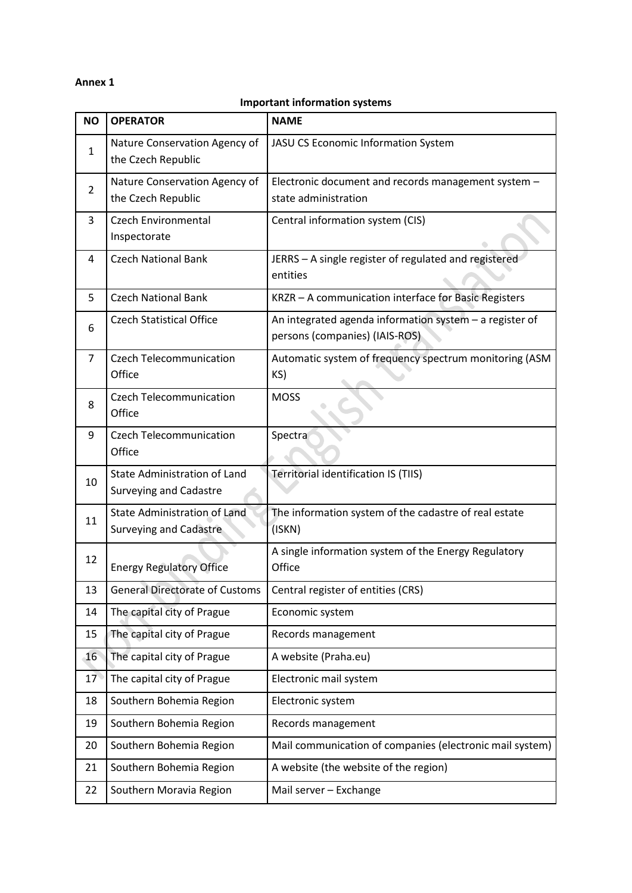# **Annex 1**

#### **Important information systems**

| <b>NO</b>      | <b>OPERATOR</b>                                                      | <b>NAME</b>                                                                               |
|----------------|----------------------------------------------------------------------|-------------------------------------------------------------------------------------------|
| 1              | Nature Conservation Agency of<br>the Czech Republic                  | <b>JASU CS Economic Information System</b>                                                |
| $\overline{2}$ | Nature Conservation Agency of<br>the Czech Republic                  | Electronic document and records management system -<br>state administration               |
| 3              | <b>Czech Environmental</b><br>Inspectorate                           | Central information system (CIS)                                                          |
| 4              | <b>Czech National Bank</b>                                           | JERRS - A single register of regulated and registered<br>entities                         |
| 5              | <b>Czech National Bank</b>                                           | KRZR - A communication interface for Basic Registers                                      |
| 6              | <b>Czech Statistical Office</b>                                      | An integrated agenda information system - a register of<br>persons (companies) (IAIS-ROS) |
| 7              | <b>Czech Telecommunication</b><br>Office                             | Automatic system of frequency spectrum monitoring (ASM<br>KS)                             |
| 8              | <b>Czech Telecommunication</b><br>Office                             | <b>MOSS</b>                                                                               |
| 9              | <b>Czech Telecommunication</b><br>Office                             | Spectra                                                                                   |
| 10             | <b>State Administration of Land</b><br><b>Surveying and Cadastre</b> | Territorial identification IS (TIIS)                                                      |
| 11             | <b>State Administration of Land</b><br><b>Surveying and Cadastre</b> | The information system of the cadastre of real estate<br>(ISKN)                           |
| 12             | <b>Energy Regulatory Office</b>                                      | A single information system of the Energy Regulatory<br>Office                            |
| 13             | <b>General Directorate of Customs</b>                                | Central register of entities (CRS)                                                        |
| 14             | The capital city of Prague                                           | Economic system                                                                           |
| 15             | The capital city of Prague                                           | Records management                                                                        |
| 16             | The capital city of Prague                                           | A website (Praha.eu)                                                                      |
| 17             | The capital city of Prague                                           | Electronic mail system                                                                    |
| 18             | Southern Bohemia Region                                              | Electronic system                                                                         |
| 19             | Southern Bohemia Region                                              | Records management                                                                        |
| 20             | Southern Bohemia Region                                              | Mail communication of companies (electronic mail system)                                  |
| 21             | Southern Bohemia Region                                              | A website (the website of the region)                                                     |
| 22             | Southern Moravia Region                                              | Mail server - Exchange                                                                    |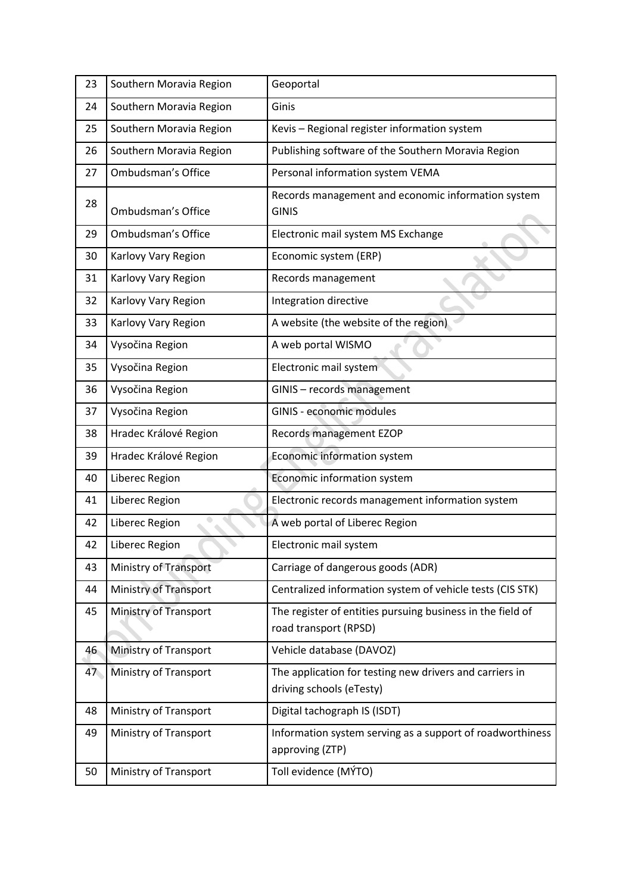| 23 | Southern Moravia Region      | Geoportal                                                                           |
|----|------------------------------|-------------------------------------------------------------------------------------|
| 24 | Southern Moravia Region      | Ginis                                                                               |
| 25 | Southern Moravia Region      | Kevis - Regional register information system                                        |
| 26 | Southern Moravia Region      | Publishing software of the Southern Moravia Region                                  |
| 27 | Ombudsman's Office           | Personal information system VEMA                                                    |
| 28 | Ombudsman's Office           | Records management and economic information system<br><b>GINIS</b>                  |
| 29 | Ombudsman's Office           | Electronic mail system MS Exchange                                                  |
| 30 | Karlovy Vary Region          | Economic system (ERP)                                                               |
| 31 | Karlovy Vary Region          | Records management                                                                  |
| 32 | Karlovy Vary Region          | Integration directive                                                               |
| 33 | Karlovy Vary Region          | A website (the website of the region)                                               |
| 34 | Vysočina Region              | A web portal WISMO                                                                  |
| 35 | Vysočina Region              | Electronic mail system                                                              |
| 36 | Vysočina Region              | GINIS - records management                                                          |
| 37 | Vysočina Region              | <b>GINIS - economic modules</b>                                                     |
| 38 | Hradec Králové Region        | Records management EZOP                                                             |
| 39 | Hradec Králové Region        | Economic information system                                                         |
| 40 | Liberec Region               | Economic information system                                                         |
| 41 | Liberec Region               | Electronic records management information system                                    |
| 42 | Liberec Region               | A web portal of Liberec Region                                                      |
| 42 | Liberec Region               | Electronic mail system                                                              |
| 43 | Ministry of Transport        | Carriage of dangerous goods (ADR)                                                   |
| 44 | <b>Ministry of Transport</b> | Centralized information system of vehicle tests (CIS STK)                           |
| 45 | <b>Ministry of Transport</b> | The register of entities pursuing business in the field of<br>road transport (RPSD) |
| 46 | Ministry of Transport        | Vehicle database (DAVOZ)                                                            |
| 47 | Ministry of Transport        | The application for testing new drivers and carriers in<br>driving schools (eTesty) |
| 48 | <b>Ministry of Transport</b> | Digital tachograph IS (ISDT)                                                        |
| 49 | Ministry of Transport        | Information system serving as a support of roadworthiness<br>approving (ZTP)        |
| 50 | <b>Ministry of Transport</b> | Toll evidence (MÝTO)                                                                |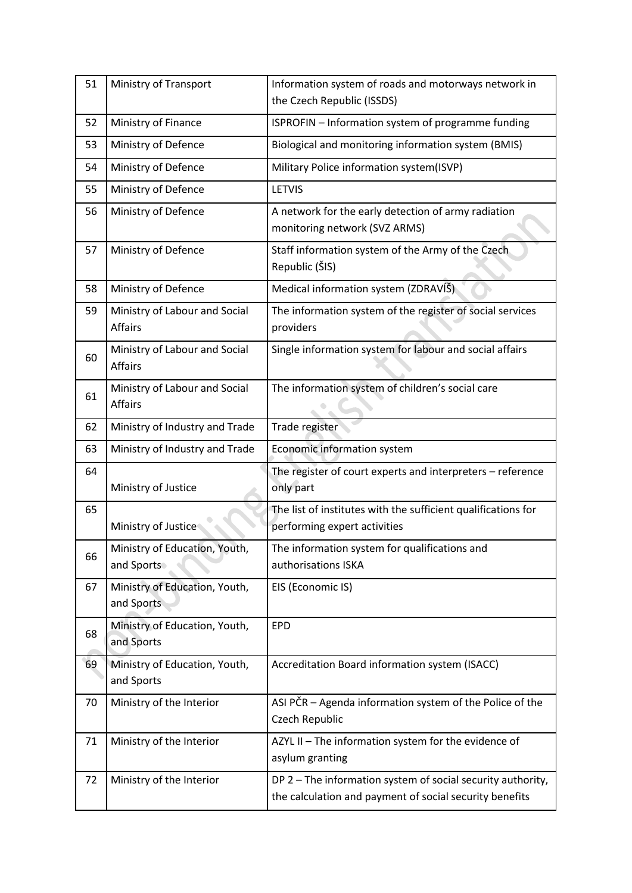| 51 | <b>Ministry of Transport</b>                    | Information system of roads and motorways network in<br>the Czech Republic (ISSDS)                                     |
|----|-------------------------------------------------|------------------------------------------------------------------------------------------------------------------------|
| 52 | Ministry of Finance                             | ISPROFIN - Information system of programme funding                                                                     |
| 53 | Ministry of Defence                             | Biological and monitoring information system (BMIS)                                                                    |
| 54 | Ministry of Defence                             | Military Police information system(ISVP)                                                                               |
| 55 | Ministry of Defence                             | <b>LETVIS</b>                                                                                                          |
| 56 | Ministry of Defence                             | A network for the early detection of army radiation<br>monitoring network (SVZ ARMS)                                   |
| 57 | Ministry of Defence                             | Staff information system of the Army of the Czech<br>Republic (ŠIS)                                                    |
| 58 | Ministry of Defence                             | Medical information system (ZDRAVÍŠ)                                                                                   |
| 59 | Ministry of Labour and Social<br><b>Affairs</b> | The information system of the register of social services<br>providers                                                 |
| 60 | Ministry of Labour and Social<br><b>Affairs</b> | Single information system for labour and social affairs                                                                |
| 61 | Ministry of Labour and Social<br><b>Affairs</b> | The information system of children's social care                                                                       |
| 62 | Ministry of Industry and Trade                  | Trade register                                                                                                         |
| 63 | Ministry of Industry and Trade                  | Economic information system                                                                                            |
| 64 | Ministry of Justice                             | The register of court experts and interpreters - reference<br>only part                                                |
| 65 | Ministry of Justice                             | The list of institutes with the sufficient qualifications for<br>performing expert activities                          |
| 66 | Ministry of Education, Youth,<br>and Sports     | The information system for qualifications and<br>authorisations ISKA                                                   |
| 67 | Ministry of Education, Youth,<br>and Sports     | EIS (Economic IS)                                                                                                      |
| 68 | Ministry of Education, Youth,<br>and Sports     | <b>EPD</b>                                                                                                             |
| 69 | Ministry of Education, Youth,<br>and Sports     | Accreditation Board information system (ISACC)                                                                         |
| 70 | Ministry of the Interior                        | ASI PČR - Agenda information system of the Police of the<br>Czech Republic                                             |
| 71 | Ministry of the Interior                        | AZYL II - The information system for the evidence of<br>asylum granting                                                |
| 72 | Ministry of the Interior                        | DP 2 - The information system of social security authority,<br>the calculation and payment of social security benefits |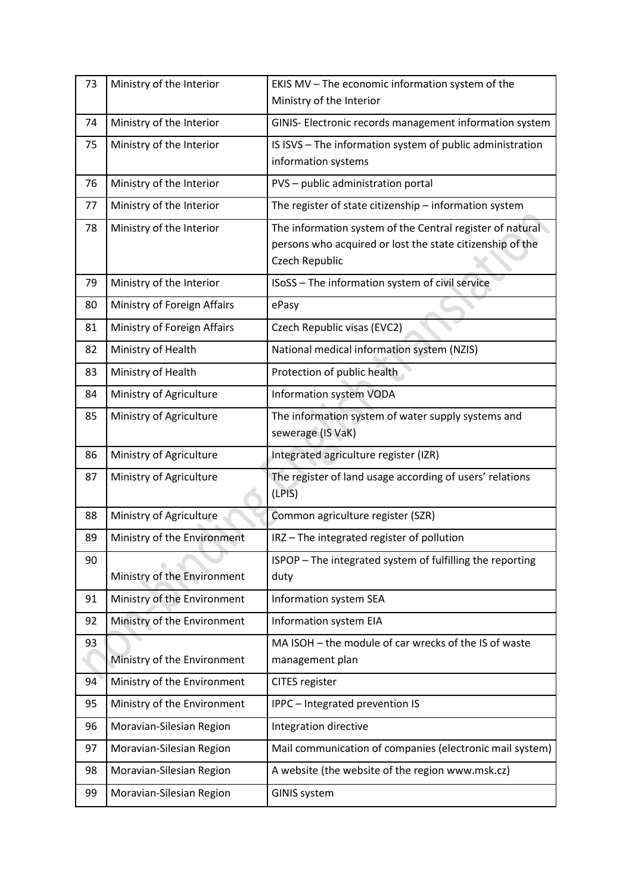| 73 | Ministry of the Interior    | EKIS MV - The economic information system of the<br>Ministry of the Interior                                                             |
|----|-----------------------------|------------------------------------------------------------------------------------------------------------------------------------------|
| 74 | Ministry of the Interior    | GINIS- Electronic records management information system                                                                                  |
| 75 | Ministry of the Interior    | IS ISVS - The information system of public administration<br>information systems                                                         |
| 76 | Ministry of the Interior    | PVS - public administration portal                                                                                                       |
| 77 | Ministry of the Interior    | The register of state citizenship - information system                                                                                   |
| 78 | Ministry of the Interior    | The information system of the Central register of natural<br>persons who acquired or lost the state citizenship of the<br>Czech Republic |
| 79 | Ministry of the Interior    | ISoSS - The information system of civil service                                                                                          |
| 80 | Ministry of Foreign Affairs | ePasy                                                                                                                                    |
| 81 | Ministry of Foreign Affairs | Czech Republic visas (EVC2)                                                                                                              |
| 82 | Ministry of Health          | National medical information system (NZIS)                                                                                               |
| 83 | Ministry of Health          | Protection of public health                                                                                                              |
| 84 | Ministry of Agriculture     | Information system VODA                                                                                                                  |
| 85 | Ministry of Agriculture     | The information system of water supply systems and<br>sewerage (IS VaK)                                                                  |
| 86 | Ministry of Agriculture     | Integrated agriculture register (IZR)                                                                                                    |
| 87 | Ministry of Agriculture     | The register of land usage according of users' relations<br>(LPIS)                                                                       |
| 88 | Ministry of Agriculture     | Common agriculture register (SZR)                                                                                                        |
| 89 | Ministry of the Environment | IRZ-The integrated register of pollution                                                                                                 |
| 90 | Ministry of the Environment | ISPOP - The integrated system of fulfilling the reporting<br>duty                                                                        |
| 91 | Ministry of the Environment | Information system SEA                                                                                                                   |
| 92 | Ministry of the Environment | Information system EIA                                                                                                                   |
| 93 | Ministry of the Environment | MA ISOH - the module of car wrecks of the IS of waste<br>management plan                                                                 |
| 94 | Ministry of the Environment | <b>CITES</b> register                                                                                                                    |
| 95 | Ministry of the Environment | IPPC - Integrated prevention IS                                                                                                          |
| 96 | Moravian-Silesian Region    | Integration directive                                                                                                                    |
| 97 | Moravian-Silesian Region    | Mail communication of companies (electronic mail system)                                                                                 |
| 98 | Moravian-Silesian Region    | A website (the website of the region www.msk.cz)                                                                                         |
| 99 | Moravian-Silesian Region    | <b>GINIS system</b>                                                                                                                      |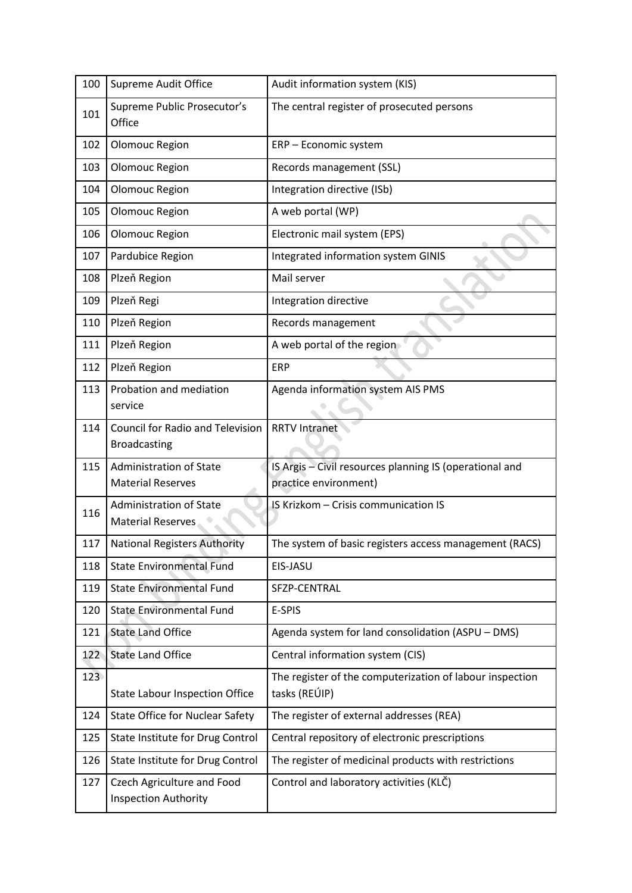| 100 | Supreme Audit Office                                           | Audit information system (KIS)                                            |
|-----|----------------------------------------------------------------|---------------------------------------------------------------------------|
| 101 | Supreme Public Prosecutor's<br>Office                          | The central register of prosecuted persons                                |
| 102 | Olomouc Region                                                 | ERP - Economic system                                                     |
| 103 | Olomouc Region                                                 | Records management (SSL)                                                  |
| 104 | Olomouc Region                                                 | Integration directive (ISb)                                               |
| 105 | Olomouc Region                                                 | A web portal (WP)                                                         |
| 106 | Olomouc Region                                                 | Electronic mail system (EPS)                                              |
| 107 | Pardubice Region                                               | Integrated information system GINIS                                       |
| 108 | Plzeň Region                                                   | Mail server                                                               |
| 109 | Plzeň Regi                                                     | Integration directive                                                     |
| 110 | Plzeň Region                                                   | Records management                                                        |
| 111 | Plzeň Region                                                   | A web portal of the region                                                |
| 112 | Plzeň Region                                                   | <b>ERP</b>                                                                |
| 113 | Probation and mediation<br>service                             | Agenda information system AIS PMS                                         |
| 114 | <b>Council for Radio and Television</b><br><b>Broadcasting</b> | <b>RRTV Intranet</b>                                                      |
| 115 | <b>Administration of State</b>                                 | IS Argis - Civil resources planning IS (operational and                   |
|     | <b>Material Reserves</b>                                       | practice environment)                                                     |
| 116 | <b>Administration of State</b><br><b>Material Reserves</b>     | IS Krizkom - Crisis communication IS                                      |
| 117 | <b>National Registers Authority</b>                            | The system of basic registers access management (RACS)                    |
| 118 | <b>State Environmental Fund</b>                                | EIS-JASU                                                                  |
| 119 | <b>State Environmental Fund</b>                                | SFZP-CENTRAL                                                              |
| 120 | <b>State Environmental Fund</b>                                | E-SPIS                                                                    |
| 121 | <b>State Land Office</b>                                       | Agenda system for land consolidation (ASPU - DMS)                         |
| 122 | <b>State Land Office</b>                                       | Central information system (CIS)                                          |
| 123 | <b>State Labour Inspection Office</b>                          | The register of the computerization of labour inspection<br>tasks (REÚIP) |
| 124 | <b>State Office for Nuclear Safety</b>                         | The register of external addresses (REA)                                  |
| 125 | State Institute for Drug Control                               | Central repository of electronic prescriptions                            |
| 126 | State Institute for Drug Control                               | The register of medicinal products with restrictions                      |
| 127 | Czech Agriculture and Food<br><b>Inspection Authority</b>      | Control and laboratory activities (KLČ)                                   |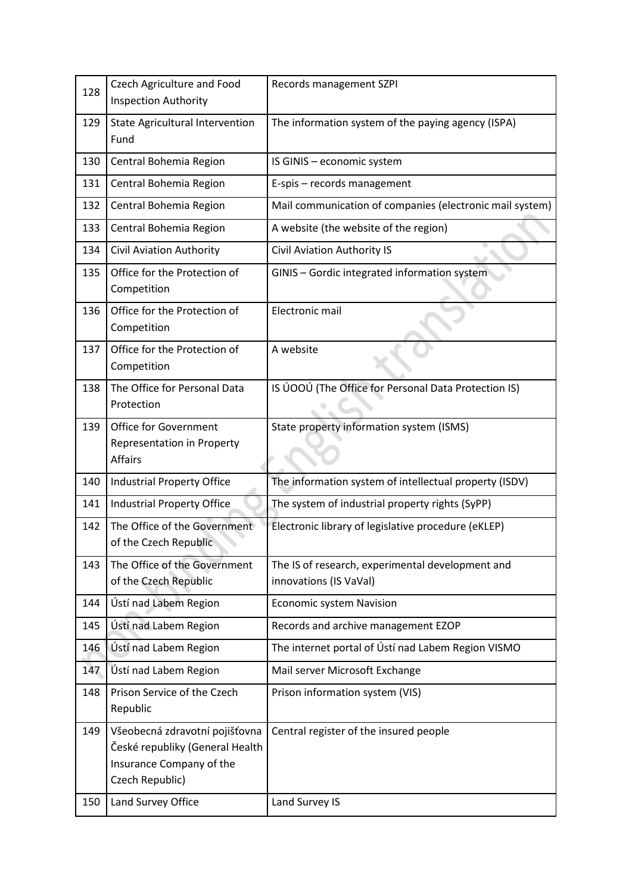| 128 | Czech Agriculture and Food<br><b>Inspection Authority</b>                                                        | Records management SZPI                                                    |
|-----|------------------------------------------------------------------------------------------------------------------|----------------------------------------------------------------------------|
| 129 | <b>State Agricultural Intervention</b><br>Fund                                                                   | The information system of the paying agency (ISPA)                         |
| 130 | Central Bohemia Region                                                                                           | IS GINIS - economic system                                                 |
| 131 | Central Bohemia Region                                                                                           | E-spis - records management                                                |
| 132 | Central Bohemia Region                                                                                           | Mail communication of companies (electronic mail system)                   |
| 133 | Central Bohemia Region                                                                                           | A website (the website of the region)                                      |
| 134 | Civil Aviation Authority                                                                                         | Civil Aviation Authority IS                                                |
| 135 | Office for the Protection of<br>Competition                                                                      | GINIS - Gordic integrated information system                               |
| 136 | Office for the Protection of<br>Competition                                                                      | Electronic mail                                                            |
| 137 | Office for the Protection of<br>Competition                                                                      | A website                                                                  |
| 138 | The Office for Personal Data<br>Protection                                                                       | IS ÚOOÚ (The Office for Personal Data Protection IS)                       |
| 139 | Office for Government<br>Representation in Property<br><b>Affairs</b>                                            | State property information system (ISMS)                                   |
| 140 | <b>Industrial Property Office</b>                                                                                | The information system of intellectual property (ISDV)                     |
| 141 | Industrial Property Office                                                                                       | The system of industrial property rights (SyPP)                            |
| 142 | The Office of the Government<br>of the Czech Republic                                                            | Electronic library of legislative procedure (eKLEP)                        |
| 143 | The Office of the Government<br>of the Czech Republic                                                            | The IS of research, experimental development and<br>innovations (IS VaVal) |
| 144 | Ústí nad Labem Region                                                                                            | <b>Economic system Navision</b>                                            |
| 145 | Ústí nad Labem Region                                                                                            | Records and archive management EZOP                                        |
| 146 | Ústí nad Labem Region                                                                                            | The internet portal of Ústí nad Labem Region VISMO                         |
| 147 | Ústí nad Labem Region                                                                                            | Mail server Microsoft Exchange                                             |
| 148 | Prison Service of the Czech<br>Republic                                                                          | Prison information system (VIS)                                            |
| 149 | Všeobecná zdravotní pojišťovna<br>České republiky (General Health<br>Insurance Company of the<br>Czech Republic) | Central register of the insured people                                     |
| 150 | Land Survey Office                                                                                               | Land Survey IS                                                             |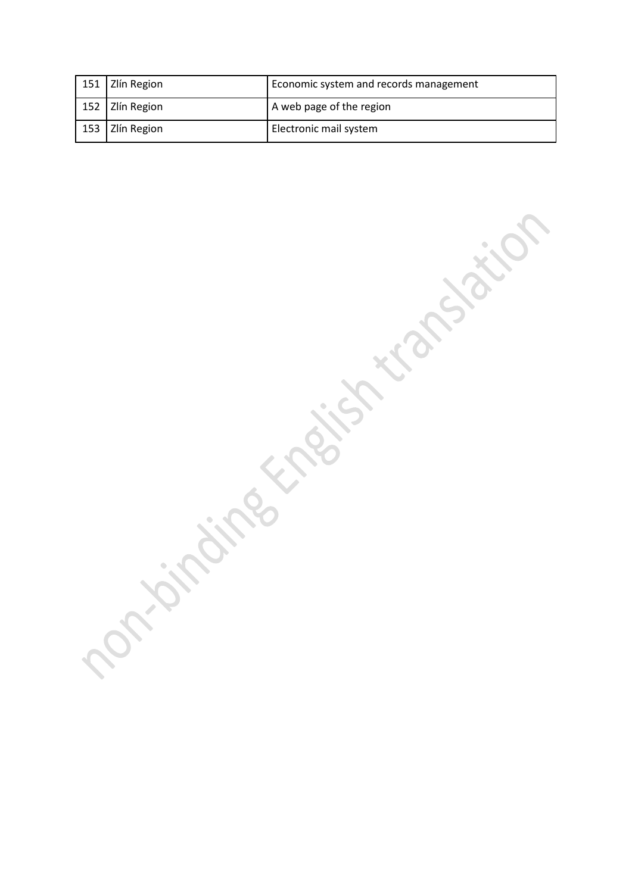| 151   Zlín Region | Economic system and records management |
|-------------------|----------------------------------------|
| 152   Zlín Region | A web page of the region               |
| 153   Zlín Region | Electronic mail system                 |